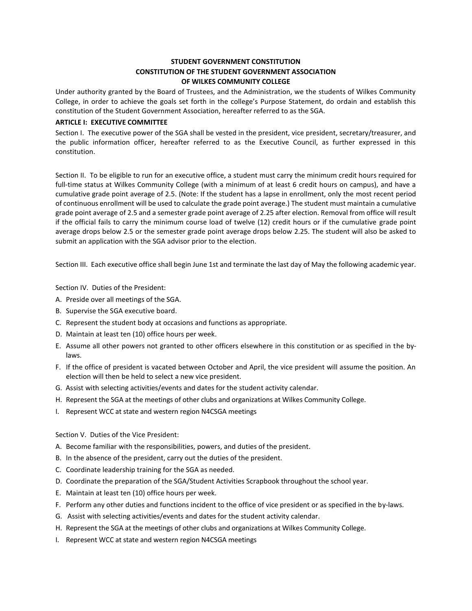# **STUDENT GOVERNMENT CONSTITUTION CONSTITUTION OF THE STUDENT GOVERNMENT ASSOCIATION OF WILKES COMMUNITY COLLEGE**

Under authority granted by the Board of Trustees, and the Administration, we the students of Wilkes Community College, in order to achieve the goals set forth in the college's Purpose Statement, do ordain and establish this constitution of the Student Government Association, hereafter referred to as the SGA.

## **ARTICLE I: EXECUTIVE COMMITTEE**

Section I. The executive power of the SGA shall be vested in the president, vice president, secretary/treasurer, and the public information officer, hereafter referred to as the Executive Council, as further expressed in this constitution.

Section II. To be eligible to run for an executive office, a student must carry the minimum credit hours required for full-time status at Wilkes Community College (with a minimum of at least 6 credit hours on campus), and have a cumulative grade point average of 2.5. (Note: If the student has a lapse in enrollment, only the most recent period of continuous enrollment will be used to calculate the grade point average.) The student must maintain a cumulative grade point average of 2.5 and a semester grade point average of 2.25 after election. Removal from office will result if the official fails to carry the minimum course load of twelve (12) credit hours or if the cumulative grade point average drops below 2.5 or the semester grade point average drops below 2.25. The student will also be asked to submit an application with the SGA advisor prior to the election.

Section III. Each executive office shall begin June 1st and terminate the last day of May the following academic year.

Section IV. Duties of the President:

- A. Preside over all meetings of the SGA.
- B. Supervise the SGA executive board.
- C. Represent the student body at occasions and functions as appropriate.
- D. Maintain at least ten (10) office hours per week.
- E. Assume all other powers not granted to other officers elsewhere in this constitution or as specified in the bylaws.
- F. If the office of president is vacated between October and April, the vice president will assume the position. An election will then be held to select a new vice president.
- G. Assist with selecting activities/events and dates for the student activity calendar.
- H. Represent the SGA at the meetings of other clubs and organizations at Wilkes Community College.
- I. Represent WCC at state and western region N4CSGA meetings

Section V. Duties of the Vice President:

- A. Become familiar with the responsibilities, powers, and duties of the president.
- B. In the absence of the president, carry out the duties of the president.
- C. Coordinate leadership training for the SGA as needed.
- D. Coordinate the preparation of the SGA/Student Activities Scrapbook throughout the school year.
- E. Maintain at least ten (10) office hours per week.
- F. Perform any other duties and functions incident to the office of vice president or as specified in the by-laws.
- G. Assist with selecting activities/events and dates for the student activity calendar.
- H. Represent the SGA at the meetings of other clubs and organizations at Wilkes Community College.
- I. Represent WCC at state and western region N4CSGA meetings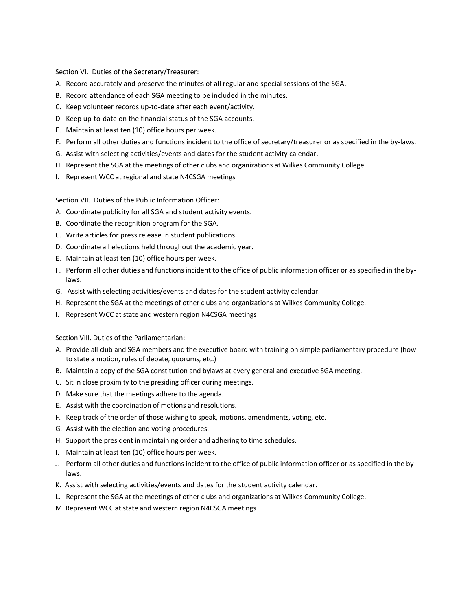Section VI. Duties of the Secretary/Treasurer:

- A. Record accurately and preserve the minutes of all regular and special sessions of the SGA.
- B. Record attendance of each SGA meeting to be included in the minutes.
- C. Keep volunteer records up-to-date after each event/activity.
- D Keep up-to-date on the financial status of the SGA accounts.
- E. Maintain at least ten (10) office hours per week.
- F. Perform all other duties and functions incident to the office of secretary/treasurer or as specified in the by-laws.
- G. Assist with selecting activities/events and dates for the student activity calendar.
- H. Represent the SGA at the meetings of other clubs and organizations at Wilkes Community College.
- I. Represent WCC at regional and state N4CSGA meetings

Section VII. Duties of the Public Information Officer:

- A. Coordinate publicity for all SGA and student activity events.
- B. Coordinate the recognition program for the SGA.
- C. Write articles for press release in student publications.
- D. Coordinate all elections held throughout the academic year.
- E. Maintain at least ten (10) office hours per week.
- F. Perform all other duties and functions incident to the office of public information officer or as specified in the bylaws.
- G. Assist with selecting activities/events and dates for the student activity calendar.
- H. Represent the SGA at the meetings of other clubs and organizations at Wilkes Community College.
- I. Represent WCC at state and western region N4CSGA meetings

Section VIII. Duties of the Parliamentarian:

- A. Provide all club and SGA members and the executive board with training on simple parliamentary procedure (how to state a motion, rules of debate, quorums, etc.)
- B. Maintain a copy of the SGA constitution and bylaws at every general and executive SGA meeting.
- C. Sit in close proximity to the presiding officer during meetings.
- D. Make sure that the meetings adhere to the agenda.
- E. Assist with the coordination of motions and resolutions.
- F. Keep track of the order of those wishing to speak, motions, amendments, voting, etc.
- G. Assist with the election and voting procedures.
- H. Support the president in maintaining order and adhering to time schedules.
- I. Maintain at least ten (10) office hours per week.
- J. Perform all other duties and functions incident to the office of public information officer or as specified in the bylaws.
- K. Assist with selecting activities/events and dates for the student activity calendar.
- L. Represent the SGA at the meetings of other clubs and organizations at Wilkes Community College.
- M. Represent WCC at state and western region N4CSGA meetings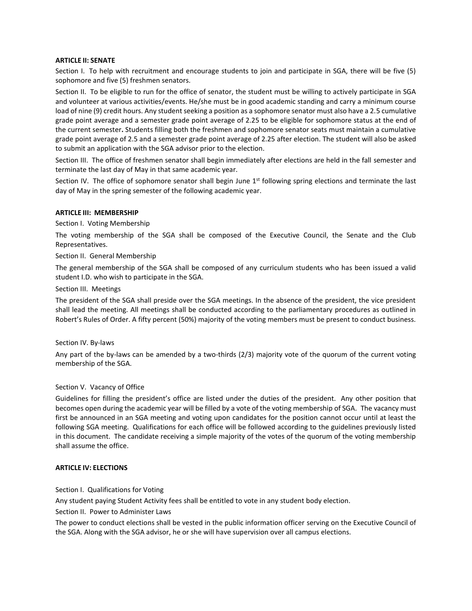## **ARTICLE II: SENATE**

Section I. To help with recruitment and encourage students to join and participate in SGA, there will be five (5) sophomore and five (5) freshmen senators.

Section II. To be eligible to run for the office of senator, the student must be willing to actively participate in SGA and volunteer at various activities/events. He/she must be in good academic standing and carry a minimum course load of nine (9) credit hours. Any student seeking a position as a sophomore senator must also have a 2.5 cumulative grade point average and a semester grade point average of 2.25 to be eligible for sophomore status at the end of the current semester**.** Students filling both the freshmen and sophomore senator seats must maintain a cumulative grade point average of 2.5 and a semester grade point average of 2.25 after election. The student will also be asked to submit an application with the SGA advisor prior to the election.

Section III. The office of freshmen senator shall begin immediately after elections are held in the fall semester and terminate the last day of May in that same academic year.

Section IV. The office of sophomore senator shall begin June  $1<sup>st</sup>$  following spring elections and terminate the last day of May in the spring semester of the following academic year.

## **ARTICLE III: MEMBERSHIP**

## Section I. Voting Membership

The voting membership of the SGA shall be composed of the Executive Council, the Senate and the Club Representatives.

## Section II. General Membership

The general membership of the SGA shall be composed of any curriculum students who has been issued a valid student I.D. who wish to participate in the SGA.

## Section III. Meetings

The president of the SGA shall preside over the SGA meetings. In the absence of the president, the vice president shall lead the meeting. All meetings shall be conducted according to the parliamentary procedures as outlined in Robert's Rules of Order. A fifty percent (50%) majority of the voting members must be present to conduct business.

## Section IV. By-laws

Any part of the by-laws can be amended by a two-thirds (2/3) majority vote of the quorum of the current voting membership of the SGA.

## Section V. Vacancy of Office

Guidelines for filling the president's office are listed under the duties of the president. Any other position that becomes open during the academic year will be filled by a vote of the voting membership of SGA. The vacancy must first be announced in an SGA meeting and voting upon candidates for the position cannot occur until at least the following SGA meeting. Qualifications for each office will be followed according to the guidelines previously listed in this document. The candidate receiving a simple majority of the votes of the quorum of the voting membership shall assume the office.

## **ARTICLE IV: ELECTIONS**

## Section I. Qualifications for Voting

Any student paying Student Activity fees shall be entitled to vote in any student body election.

Section II. Power to Administer Laws

The power to conduct elections shall be vested in the public information officer serving on the Executive Council of the SGA. Along with the SGA advisor, he or she will have supervision over all campus elections.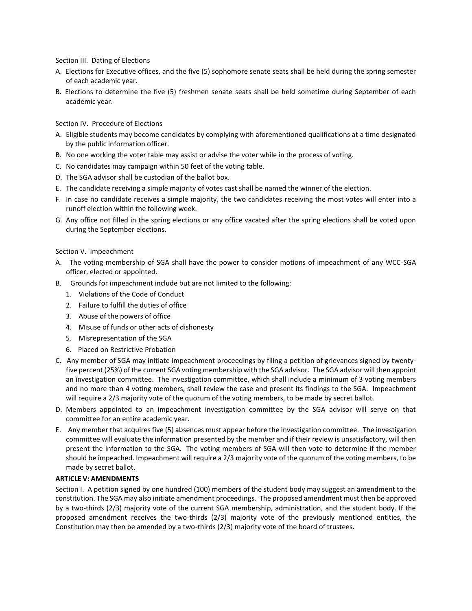Section III. Dating of Elections

- A. Elections for Executive offices, and the five (5) sophomore senate seats shall be held during the spring semester of each academic year.
- B. Elections to determine the five (5) freshmen senate seats shall be held sometime during September of each academic year.

#### Section IV. Procedure of Elections

- A. Eligible students may become candidates by complying with aforementioned qualifications at a time designated by the public information officer.
- B. No one working the voter table may assist or advise the voter while in the process of voting.
- C. No candidates may campaign within 50 feet of the voting table.
- D. The SGA advisor shall be custodian of the ballot box.
- E. The candidate receiving a simple majority of votes cast shall be named the winner of the election.
- F. In case no candidate receives a simple majority, the two candidates receiving the most votes will enter into a runoff election within the following week.
- G. Any office not filled in the spring elections or any office vacated after the spring elections shall be voted upon during the September elections.

#### Section V. Impeachment

- A. The voting membership of SGA shall have the power to consider motions of impeachment of any WCC-SGA officer, elected or appointed.
- B. Grounds for impeachment include but are not limited to the following:
	- 1. Violations of the Code of Conduct
	- 2. Failure to fulfill the duties of office
	- 3. Abuse of the powers of office
	- 4. Misuse of funds or other acts of dishonesty
	- 5. Misrepresentation of the SGA
	- 6. Placed on Restrictive Probation
- C. Any member of SGA may initiate impeachment proceedings by filing a petition of grievances signed by twentyfive percent (25%) of the current SGA voting membership with the SGA advisor. The SGA advisor will then appoint an investigation committee. The investigation committee, which shall include a minimum of 3 voting members and no more than 4 voting members, shall review the case and present its findings to the SGA. Impeachment will require a 2/3 majority vote of the quorum of the voting members, to be made by secret ballot.
- D. Members appointed to an impeachment investigation committee by the SGA advisor will serve on that committee for an entire academic year.
- E. Any member that acquires five (5) absences must appear before the investigation committee. The investigation committee will evaluate the information presented by the member and if their review is unsatisfactory, will then present the information to the SGA. The voting members of SGA will then vote to determine if the member should be impeached. Impeachment will require a 2/3 majority vote of the quorum of the voting members, to be made by secret ballot.

#### **ARTICLE V: AMENDMENTS**

Section I. A petition signed by one hundred (100) members of the student body may suggest an amendment to the constitution. The SGA may also initiate amendment proceedings. The proposed amendment must then be approved by a two-thirds (2/3) majority vote of the current SGA membership, administration, and the student body. If the proposed amendment receives the two-thirds (2/3) majority vote of the previously mentioned entities, the Constitution may then be amended by a two-thirds (2/3) majority vote of the board of trustees.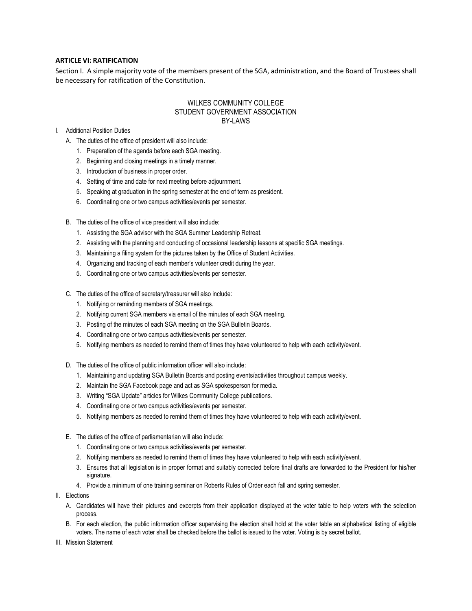## **ARTICLE VI: RATIFICATION**

Section I. A simple majority vote of the members present of the SGA, administration, and the Board of Trustees shall be necessary for ratification of the Constitution.

## WILKES COMMUNITY COLLEGE STUDENT GOVERNMENT ASSOCIATION BY-LAWS

- I. Additional Position Duties
	- A. The duties of the office of president will also include:
		- 1. Preparation of the agenda before each SGA meeting.
		- 2. Beginning and closing meetings in a timely manner.
		- 3. Introduction of business in proper order.
		- 4. Setting of time and date for next meeting before adjournment.
		- 5. Speaking at graduation in the spring semester at the end of term as president.
		- 6. Coordinating one or two campus activities/events per semester.
	- B. The duties of the office of vice president will also include:
		- 1. Assisting the SGA advisor with the SGA Summer Leadership Retreat.
		- 2. Assisting with the planning and conducting of occasional leadership lessons at specific SGA meetings.
		- 3. Maintaining a filing system for the pictures taken by the Office of Student Activities.
		- 4. Organizing and tracking of each member's volunteer credit during the year.
		- 5. Coordinating one or two campus activities/events per semester.
	- C. The duties of the office of secretary/treasurer will also include:
		- 1. Notifying or reminding members of SGA meetings.
		- 2. Notifying current SGA members via email of the minutes of each SGA meeting.
		- 3. Posting of the minutes of each SGA meeting on the SGA Bulletin Boards.
		- 4. Coordinating one or two campus activities/events per semester.
		- 5. Notifying members as needed to remind them of times they have volunteered to help with each activity/event.
	- D. The duties of the office of public information officer will also include:
		- 1. Maintaining and updating SGA Bulletin Boards and posting events/activities throughout campus weekly.
		- 2. Maintain the SGA Facebook page and act as SGA spokesperson for media.
		- 3. Writing "SGA Update" articles for Wilkes Community College publications*.*
		- 4. Coordinating one or two campus activities/events per semester.
		- 5. Notifying members as needed to remind them of times they have volunteered to help with each activity/event.
	- E. The duties of the office of parliamentarian will also include:
		- 1. Coordinating one or two campus activities/events per semester.
		- 2. Notifying members as needed to remind them of times they have volunteered to help with each activity/event.
		- 3. Ensures that all legislation is in proper format and suitably corrected before final drafts are forwarded to the President for his/her signature.
		- 4. Provide a minimum of one training seminar on Roberts Rules of Order each fall and spring semester.
- II. Elections
	- A. Candidates will have their pictures and excerpts from their application displayed at the voter table to help voters with the selection process.
	- B. For each election, the public information officer supervising the election shall hold at the voter table an alphabetical listing of eligible voters. The name of each voter shall be checked before the ballot is issued to the voter. Voting is by secret ballot.
- III. Mission Statement